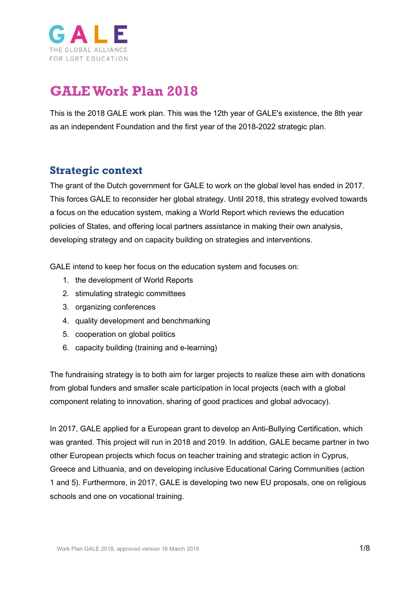

# **GALEWork Plan 2018**

This is the 2018 GALE work plan. This was the 12th year of GALE's existence, the 8th year as an independent Foundation and the first year of the 2018-2022 strategic plan.

### **Strategic context**

The grant of the Dutch government for GALE to work on the global level has ended in 2017. This forces GALE to reconsider her global strategy. Until 2018, this strategy evolved towards a focus on the education system, making a World Report which reviews the education policies of States, and offering local partners assistance in making their own analysis, developing strategy and on capacity building on strategies and interventions.

GALE intend to keep her focus on the education system and focuses on:

- 1. the development of World Reports
- 2. stimulating strategic committees
- 3. organizing conferences
- 4. quality development and benchmarking
- 5. cooperation on global politics
- 6. capacity building (training and e-learning)

The fundraising strategy is to both aim for larger projects to realize these aim with donations from global funders and smaller scale participation in local projects (each with a global component relating to innovation, sharing of good practices and global advocacy).

In 2017, GALE applied for a European grant to develop an Anti-Bullying Certification, which was granted. This project will run in 2018 and 2019. In addition, GALE became partner in two other European projects which focus on teacher training and strategic action in Cyprus, Greece and Lithuania, and on developing inclusive Educational Caring Communities (action 1 and 5). Furthermore, in 2017, GALE is developing two new EU proposals, one on religious schools and one on vocational training.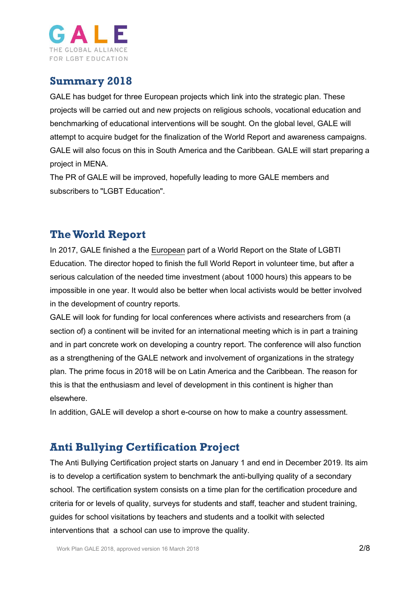

### **Summary 2018**

GALE has budget for three European projects which link into the strategic plan. These projects will be carried out and new projects on religious schools, vocational education and benchmarking of educational interventions will be sought. On the global level, GALE will attempt to acquire budget for the finalization of the World Report and awareness campaigns. GALE will also focus on this in South America and the Caribbean. GALE will start preparing a project in MENA.

The PR of GALE will be improved, hopefully leading to more GALE members and subscribers to "LGBT Education".

### **The World Report**

In 2017, GALE finished a the [European](https://www.gale.info/en/news/gale/171224-gale-publishes-first-overview-of-lgbti-education-in-europe) part of a World Report on the State of LGBTI Education. The director hoped to finish the full World Report in volunteer time, but after a serious calculation of the needed time investment (about 1000 hours) this appears to be impossible in one year. It would also be better when local activists would be better involved in the development of country reports.

GALE will look for funding for local conferences where activists and researchers from (a section of) a continent will be invited for an international meeting which is in part a training and in part concrete work on developing a country report. The conference will also function as a strengthening of the GALE network and involvement of organizations in the strategy plan. The prime focus in 2018 will be on Latin America and the Caribbean. The reason for this is that the enthusiasm and level of development in this continent is higher than elsewhere.

In addition, GALE will develop a short e-course on how to make a country assessment.

### **Anti Bullying Certification Project**

The Anti Bullying Certification project starts on January 1 and end in December 2019. Its aim is to develop a certification system to benchmark the anti-bullying quality of a secondary school. The certification system consists on a time plan for the certification procedure and criteria for or levels of quality, surveys for students and staff, teacher and student training, guides for school visitations by teachers and students and a toolkit with selected interventions that a school can use to improve the quality.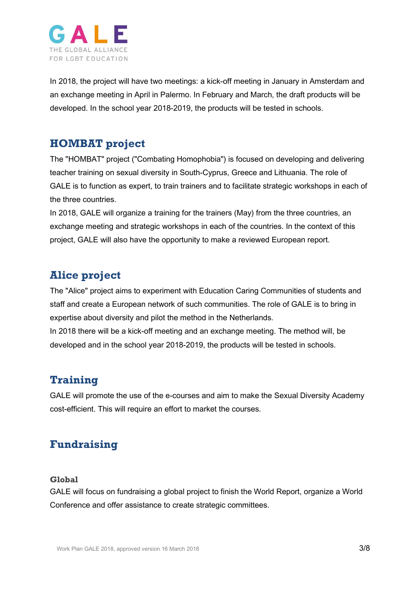

In 2018, the project will have two meetings: a kick-off meeting in January in Amsterdam and an exchange meeting in April in Palermo. In February and March, the draft products will be developed. In the school year 2018-2019, the products will be tested in schools.

### **HOMBAT project**

The "HOMBAT" project ("Combating Homophobia") is focused on developing and delivering teacher training on sexual diversity in South-Cyprus, Greece and Lithuania. The role of GALE is to function as expert, to train trainers and to facilitate strategic workshops in each of the three countries.

In 2018, GALE will organize a training for the trainers (May) from the three countries, an exchange meeting and strategic workshops in each of the countries. In the context of this project, GALE will also have the opportunity to make a reviewed European report.

# **Alice project**

The "Alice" project aims to experiment with Education Caring Communities of students and staff and create a European network of such communities. The role of GALE is to bring in expertise about diversity and pilot the method in the Netherlands.

In 2018 there will be a kick-off meeting and an exchange meeting. The method will, be developed and in the school year 2018-2019, the products will be tested in schools.

### **Training**

GALE will promote the use of the e-courses and aim to make the Sexual Diversity Academy cost-efficient. This will require an effort to market the courses.

# **Fundraising**

#### **Global**

GALE will focus on fundraising a global project to finish the World Report, organize a World Conference and offer assistance to create strategic committees.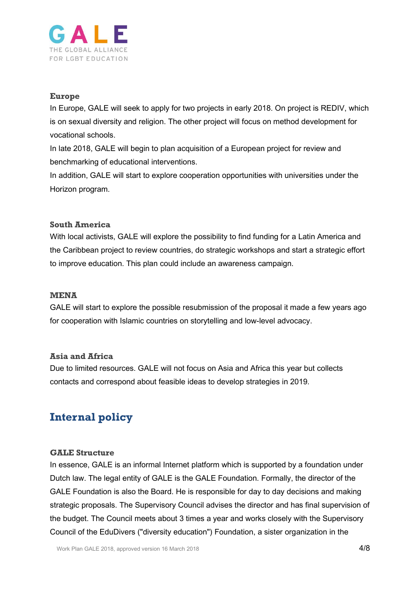

#### **Europe**

In Europe, GALE will seek to apply for two projects in early 2018. On project is REDIV, which is on sexual diversity and religion. The other project will focus on method development for vocational schools.

In late 2018, GALE will begin to plan acquisition of a European project for review and benchmarking of educational interventions.

In addition, GALE will start to explore cooperation opportunities with universities under the Horizon program.

#### **South America**

With local activists, GALE will explore the possibility to find funding for a Latin America and the Caribbean project to review countries, do strategic workshops and start a strategic effort to improve education. This plan could include an awareness campaign.

#### **MENA**

GALE will start to explore the possible resubmission of the proposal it made a few years ago for cooperation with Islamic countries on storytelling and low-level advocacy.

#### **Asia and Africa**

Due to limited resources. GALE will not focus on Asia and Africa this year but collects contacts and correspond about feasible ideas to develop strategies in 2019.

## **Internal policy**

#### **GALE Structure**

In essence, GALE is an informal Internet platform which is supported by a foundation under Dutch law. The legal entity of GALE is the GALE Foundation. Formally, the director of the GALE Foundation is also the Board. He is responsible for day to day decisions and making strategic proposals. The Supervisory Council advises the director and has final supervision of the budget. The Council meets about 3 times a year and works closely with the Supervisory Council of the EduDivers ("diversity education") Foundation, a sister organization in the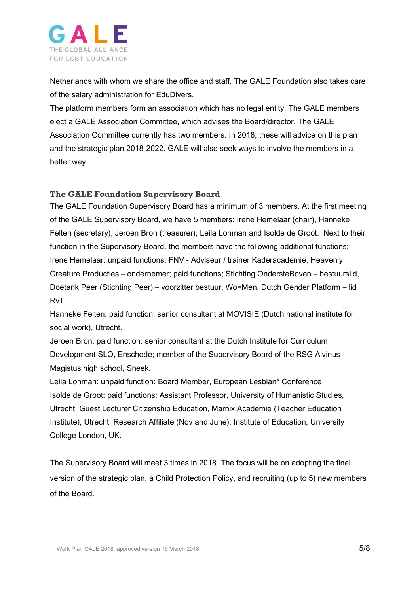

Netherlands with whom we share the office and staff. The GALE Foundation also takes care of the salary administration for EduDivers.

The platform members form an association which has no legal entity. The GALE members elect a GALE Association Committee, which advises the Board/director. The GALE Association Committee currently has two members. In 2018, these will advice on this plan and the strategic plan 2018-2022. GALE will also seek ways to involve the members in a better way.

#### **The GALE Foundation Supervisory Board**

The GALE Foundation Supervisory Board has a minimum of 3 members. At the first meeting of the GALE Supervisory Board, we have 5 members: Irene Hemelaar (chair), Hanneke Felten (secretary), Jeroen Bron (treasurer), Leila Lohman and Isolde de Groot. Next to their function in the Supervisory Board, the members have the following additional functions: Irene Hemelaar: unpaid functions: FNV - Adviseur / trainer Kaderacademie, Heavenly Creature Producties – ondernemer; paid functions: Stichting OndersteBoven – bestuurslid, Doetank Peer (Stichting Peer) – voorzitter bestuur, Wo=Men, Dutch Gender Platform – lid RvT

Hanneke Felten: paid function: senior consultant at MOVISIE (Dutch national institute for social work), Utrecht.

Jeroen Bron: paid function: senior consultant at the Dutch Institute for Curriculum Development SLO, Enschede; member of the Supervisory Board of the RSG Alvinus Magistus high school, Sneek.

Leila Lohman: unpaid function: Board Member, European Lesbian\* Conference Isolde de Groot: paid functions: Assistant Professor, University of Humanistic Studies, Utrecht; Guest Lecturer Citizenship Education, Marnix Academie (Teacher Education Institute), Utrecht; Research Affiliate (Nov and June), Institute of Education, University College London, UK.

The Supervisory Board will meet 3 times in 2018. The focus will be on adopting the final version of the strategic plan, a Child Protection Policy, and recruiting (up to 5) new members of the Board.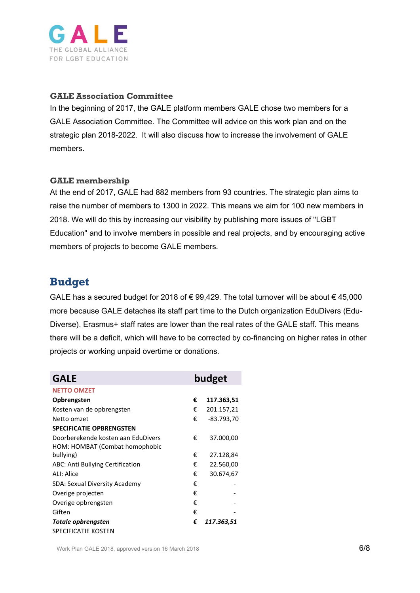

#### **GALE Association Committee**

In the beginning of 2017, the GALE platform members GALE chose two members for a GALE Association Committee. The Committee will advice on this work plan and on the strategic plan 2018-2022. It will also discuss how to increase the involvement of GALE members.

#### **GALE membership**

At the end of 2017, GALE had 882 members from 93 countries. The strategic plan aims to raise the number of members to 1300 in 2022. This means we aim for 100 new members in 2018. We will do this by increasing our visibility by publishing more issues of "LGBT Education" and to involve members in possible and real projects, and by encouraging active members of projects to become GALE members.

### **Budget**

GALE has a secured budget for 2018 of € 99,429. The total turnover will be about € 45,000 more because GALE detaches its staff part time to the Dutch organization EduDivers (Edu-Diverse). Erasmus+ staff rates are lower than the real rates of the GALE staff. This means there will be a deficit, which will have to be corrected by co-financing on higher rates in other projects or working unpaid overtime or donations.

| <b>GALE</b>                        | budget |            |
|------------------------------------|--------|------------|
| <b>NETTO OMZET</b>                 |        |            |
| Opbrengsten                        | €      | 117.363,51 |
| Kosten van de opbrengsten          | €      | 201.157,21 |
| Netto omzet                        | €      | -83.793,70 |
| <b>SPECIFICATIE OPBRENGSTEN</b>    |        |            |
| Doorberekende kosten aan EduDivers | €      | 37.000,00  |
| HOM: HOMBAT (Combat homophobic     |        |            |
| bullying)                          | €      | 27.128,84  |
| ABC: Anti Bullying Certification   | €      | 22.560,00  |
| ALI: Alice                         | €      | 30.674,67  |
| SDA: Sexual Diversity Academy      | €      |            |
| Overige projecten                  | €      |            |
| Overige opbrengsten                | €      |            |
| Giften                             | €      |            |
| Totale opbrengsten                 | €      | 117.363,51 |
| <b>SPECIFICATIE KOSTEN</b>         |        |            |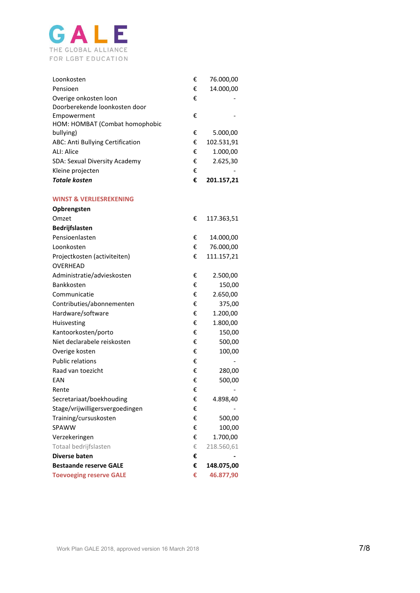

| Loonkosten                       | € | 76.000,00  |
|----------------------------------|---|------------|
| Pensioen                         | € | 14.000,00  |
| Overige onkosten loon            | € |            |
| Doorberekende loonkosten door    |   |            |
| Empowerment                      | € |            |
| HOM: HOMBAT (Combat homophobic   |   |            |
| bullying)                        | € | 5.000,00   |
| ABC: Anti Bullying Certification | € | 102.531,91 |
| ALI: Alice                       | € | 1.000,00   |
| SDA: Sexual Diversity Academy    | € | 2.625,30   |
| Kleine projecten                 | € |            |
| <b>Totale kosten</b>             | € | 201.157,21 |

#### **WINST & VERLIESREKENING**

| Opbrengsten                     |   |            |
|---------------------------------|---|------------|
| Omzet                           | € | 117.363,51 |
| <b>Bedrijfslasten</b>           |   |            |
| Pensioenlasten                  | € | 14.000,00  |
| Loonkosten                      | € | 76.000,00  |
| Projectkosten (activiteiten)    | € | 111.157,21 |
| <b>OVERHEAD</b>                 |   |            |
| Administratie/advieskosten      | € | 2.500,00   |
| Bankkosten                      | € | 150,00     |
| Communicatie                    | € | 2.650,00   |
| Contributies/abonnementen       | € | 375,00     |
| Hardware/software               | € | 1.200,00   |
| Huisvesting                     | € | 1.800,00   |
| Kantoorkosten/porto             | € | 150,00     |
| Niet declarabele reiskosten     | € | 500,00     |
| Overige kosten                  | € | 100,00     |
| <b>Public relations</b>         | € |            |
| Raad van toezicht               | € | 280,00     |
| EAN                             | € | 500,00     |
| Rente                           | € |            |
| Secretariaat/boekhouding        | € | 4.898,40   |
| Stage/vrijwilligersvergoedingen | € |            |
| Training/cursuskosten           | € | 500,00     |
| SPAWW                           | € | 100,00     |
| Verzekeringen                   | € | 1.700,00   |
| Totaal bedrijfslasten           | € | 218.560,61 |
| Diverse baten                   | € |            |
| <b>Bestaande reserve GALE</b>   | € | 148.075,00 |
| <b>Toevoeging reserve GALE</b>  | € | 46.877,90  |